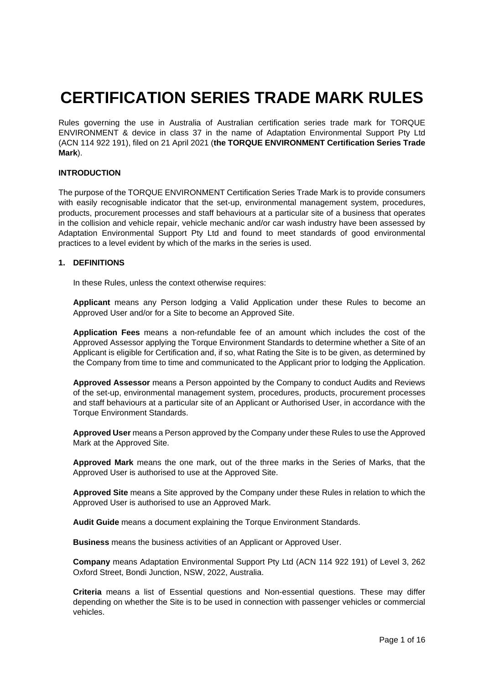# **CERTIFICATION SERIES TRADE MARK RULES**

Rules governing the use in Australia of Australian certification series trade mark for TORQUE ENVIRONMENT & device in class 37 in the name of Adaptation Environmental Support Pty Ltd (ACN 114 922 191), filed on 21 April 2021 (**the TORQUE ENVIRONMENT Certification Series Trade Mark**).

## **INTRODUCTION**

The purpose of the TORQUE ENVIRONMENT Certification Series Trade Mark is to provide consumers with easily recognisable indicator that the set-up, environmental management system, procedures, products, procurement processes and staff behaviours at a particular site of a business that operates in the collision and vehicle repair, vehicle mechanic and/or car wash industry have been assessed by Adaptation Environmental Support Pty Ltd and found to meet standards of good environmental practices to a level evident by which of the marks in the series is used.

#### **1. DEFINITIONS**

In these Rules, unless the context otherwise requires:

**Applicant** means any Person lodging a Valid Application under these Rules to become an Approved User and/or for a Site to become an Approved Site.

**Application Fees** means a non-refundable fee of an amount which includes the cost of the Approved Assessor applying the Torque Environment Standards to determine whether a Site of an Applicant is eligible for Certification and, if so, what Rating the Site is to be given, as determined by the Company from time to time and communicated to the Applicant prior to lodging the Application.

**Approved Assessor** means a Person appointed by the Company to conduct Audits and Reviews of the set-up, environmental management system, procedures, products, procurement processes and staff behaviours at a particular site of an Applicant or Authorised User, in accordance with the Torque Environment Standards.

**Approved User** means a Person approved by the Company under these Rules to use the Approved Mark at the Approved Site.

**Approved Mark** means the one mark, out of the three marks in the Series of Marks, that the Approved User is authorised to use at the Approved Site.

**Approved Site** means a Site approved by the Company under these Rules in relation to which the Approved User is authorised to use an Approved Mark.

**Audit Guide** means a document explaining the Torque Environment Standards.

**Business** means the business activities of an Applicant or Approved User.

**Company** means Adaptation Environmental Support Pty Ltd (ACN 114 922 191) of Level 3, 262 Oxford Street, Bondi Junction, NSW, 2022, Australia.

**Criteria** means a list of Essential questions and Non-essential questions. These may differ depending on whether the Site is to be used in connection with passenger vehicles or commercial vehicles.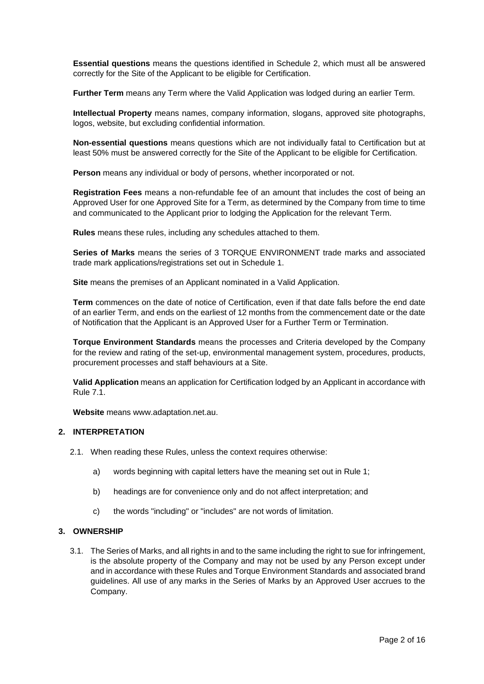**Essential questions** means the questions identified in Schedule 2, which must all be answered correctly for the Site of the Applicant to be eligible for Certification.

**Further Term** means any Term where the Valid Application was lodged during an earlier Term.

**Intellectual Property** means names, company information, slogans, approved site photographs, logos, website, but excluding confidential information.

**Non-essential questions** means questions which are not individually fatal to Certification but at least 50% must be answered correctly for the Site of the Applicant to be eligible for Certification.

**Person** means any individual or body of persons, whether incorporated or not.

**Registration Fees** means a non-refundable fee of an amount that includes the cost of being an Approved User for one Approved Site for a Term, as determined by the Company from time to time and communicated to the Applicant prior to lodging the Application for the relevant Term.

**Rules** means these rules, including any schedules attached to them.

**Series of Marks** means the series of 3 TORQUE ENVIRONMENT trade marks and associated trade mark applications/registrations set out in Schedule 1.

**Site** means the premises of an Applicant nominated in a Valid Application.

**Term** commences on the date of notice of Certification, even if that date falls before the end date of an earlier Term, and ends on the earliest of 12 months from the commencement date or the date of Notification that the Applicant is an Approved User for a Further Term or Termination.

**Torque Environment Standards** means the processes and Criteria developed by the Company for the review and rating of the set-up, environmental management system, procedures, products, procurement processes and staff behaviours at a Site.

**Valid Application** means an application for Certification lodged by an Applicant in accordance with Rule 7.1.

**Website** means www.adaptation.net.au.

# **2. INTERPRETATION**

- 2.1. When reading these Rules, unless the context requires otherwise:
	- a) words beginning with capital letters have the meaning set out in Rule 1;
	- b) headings are for convenience only and do not affect interpretation; and
	- c) the words "including" or "includes" are not words of limitation.

#### **3. OWNERSHIP**

3.1. The Series of Marks, and all rights in and to the same including the right to sue for infringement, is the absolute property of the Company and may not be used by any Person except under and in accordance with these Rules and Torque Environment Standards and associated brand guidelines. All use of any marks in the Series of Marks by an Approved User accrues to the Company.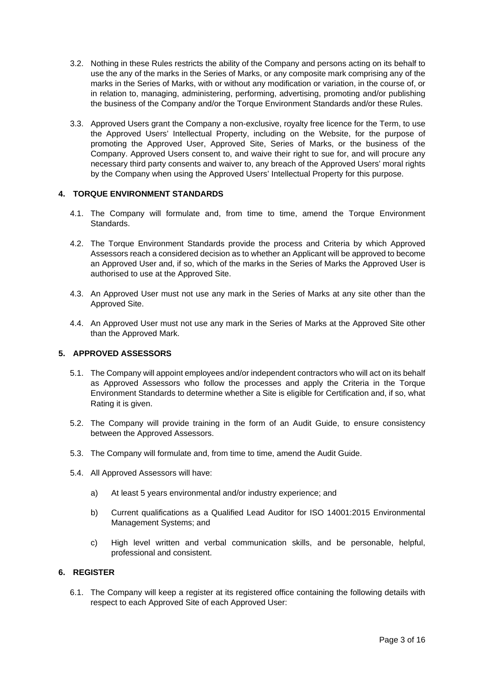- 3.2. Nothing in these Rules restricts the ability of the Company and persons acting on its behalf to use the any of the marks in the Series of Marks, or any composite mark comprising any of the marks in the Series of Marks, with or without any modification or variation, in the course of, or in relation to, managing, administering, performing, advertising, promoting and/or publishing the business of the Company and/or the Torque Environment Standards and/or these Rules.
- 3.3. Approved Users grant the Company a non-exclusive, royalty free licence for the Term, to use the Approved Users' Intellectual Property, including on the Website, for the purpose of promoting the Approved User, Approved Site, Series of Marks, or the business of the Company. Approved Users consent to, and waive their right to sue for, and will procure any necessary third party consents and waiver to, any breach of the Approved Users' moral rights by the Company when using the Approved Users' Intellectual Property for this purpose.

# **4. TORQUE ENVIRONMENT STANDARDS**

- 4.1. The Company will formulate and, from time to time, amend the Torque Environment Standards.
- 4.2. The Torque Environment Standards provide the process and Criteria by which Approved Assessors reach a considered decision as to whether an Applicant will be approved to become an Approved User and, if so, which of the marks in the Series of Marks the Approved User is authorised to use at the Approved Site.
- 4.3. An Approved User must not use any mark in the Series of Marks at any site other than the Approved Site.
- 4.4. An Approved User must not use any mark in the Series of Marks at the Approved Site other than the Approved Mark.

#### **5. APPROVED ASSESSORS**

- 5.1. The Company will appoint employees and/or independent contractors who will act on its behalf as Approved Assessors who follow the processes and apply the Criteria in the Torque Environment Standards to determine whether a Site is eligible for Certification and, if so, what Rating it is given.
- 5.2. The Company will provide training in the form of an Audit Guide, to ensure consistency between the Approved Assessors.
- 5.3. The Company will formulate and, from time to time, amend the Audit Guide.
- 5.4. All Approved Assessors will have:
	- a) At least 5 years environmental and/or industry experience; and
	- b) Current qualifications as a Qualified Lead Auditor for ISO 14001:2015 Environmental Management Systems; and
	- c) High level written and verbal communication skills, and be personable, helpful, professional and consistent.

# **6. REGISTER**

6.1. The Company will keep a register at its registered office containing the following details with respect to each Approved Site of each Approved User: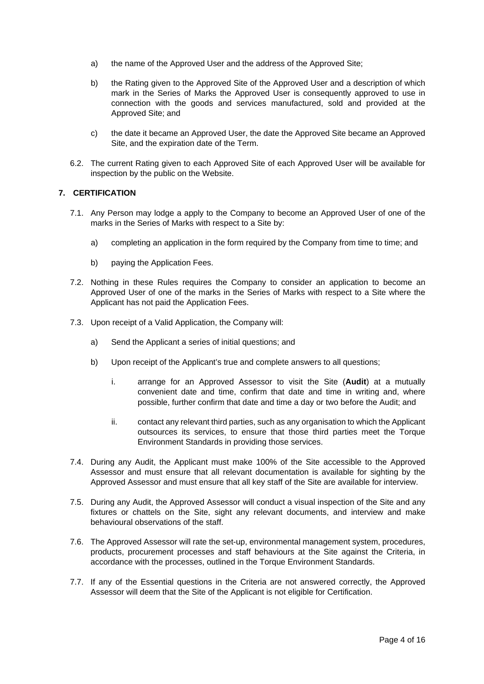- a) the name of the Approved User and the address of the Approved Site;
- b) the Rating given to the Approved Site of the Approved User and a description of which mark in the Series of Marks the Approved User is consequently approved to use in connection with the goods and services manufactured, sold and provided at the Approved Site; and
- c) the date it became an Approved User, the date the Approved Site became an Approved Site, and the expiration date of the Term.
- 6.2. The current Rating given to each Approved Site of each Approved User will be available for inspection by the public on the Website.

### **7. CERTIFICATION**

- 7.1. Any Person may lodge a apply to the Company to become an Approved User of one of the marks in the Series of Marks with respect to a Site by:
	- a) completing an application in the form required by the Company from time to time; and
	- b) paying the Application Fees.
- 7.2. Nothing in these Rules requires the Company to consider an application to become an Approved User of one of the marks in the Series of Marks with respect to a Site where the Applicant has not paid the Application Fees.
- 7.3. Upon receipt of a Valid Application, the Company will:
	- a) Send the Applicant a series of initial questions; and
	- b) Upon receipt of the Applicant's true and complete answers to all questions;
		- i. arrange for an Approved Assessor to visit the Site (**Audit**) at a mutually convenient date and time, confirm that date and time in writing and, where possible, further confirm that date and time a day or two before the Audit; and
		- ii. contact any relevant third parties, such as any organisation to which the Applicant outsources its services, to ensure that those third parties meet the Torque Environment Standards in providing those services.
- 7.4. During any Audit, the Applicant must make 100% of the Site accessible to the Approved Assessor and must ensure that all relevant documentation is available for sighting by the Approved Assessor and must ensure that all key staff of the Site are available for interview.
- 7.5. During any Audit, the Approved Assessor will conduct a visual inspection of the Site and any fixtures or chattels on the Site, sight any relevant documents, and interview and make behavioural observations of the staff.
- 7.6. The Approved Assessor will rate the set-up, environmental management system, procedures, products, procurement processes and staff behaviours at the Site against the Criteria, in accordance with the processes, outlined in the Torque Environment Standards.
- 7.7. If any of the Essential questions in the Criteria are not answered correctly, the Approved Assessor will deem that the Site of the Applicant is not eligible for Certification.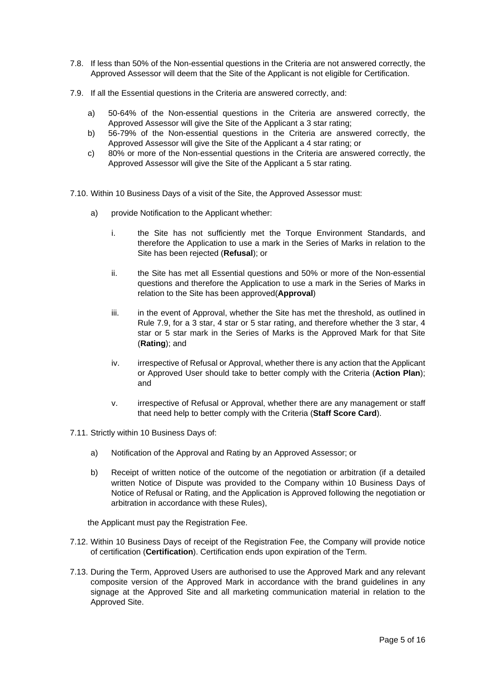- 7.8. If less than 50% of the Non-essential questions in the Criteria are not answered correctly, the Approved Assessor will deem that the Site of the Applicant is not eligible for Certification.
- 7.9. If all the Essential questions in the Criteria are answered correctly, and:
	- a) 50-64% of the Non-essential questions in the Criteria are answered correctly, the Approved Assessor will give the Site of the Applicant a 3 star rating;
	- b) 56-79% of the Non-essential questions in the Criteria are answered correctly, the Approved Assessor will give the Site of the Applicant a 4 star rating; or
	- c) 80% or more of the Non-essential questions in the Criteria are answered correctly, the Approved Assessor will give the Site of the Applicant a 5 star rating.
- 7.10. Within 10 Business Days of a visit of the Site, the Approved Assessor must:
	- a) provide Notification to the Applicant whether:
		- i. the Site has not sufficiently met the Torque Environment Standards, and therefore the Application to use a mark in the Series of Marks in relation to the Site has been rejected (**Refusal**); or
		- ii. the Site has met all Essential questions and 50% or more of the Non-essential questions and therefore the Application to use a mark in the Series of Marks in relation to the Site has been approved(**Approval**)
		- iii. in the event of Approval, whether the Site has met the threshold, as outlined in Rule 7.9, for a 3 star, 4 star or 5 star rating, and therefore whether the 3 star, 4 star or 5 star mark in the Series of Marks is the Approved Mark for that Site (**Rating**); and
		- iv. irrespective of Refusal or Approval, whether there is any action that the Applicant or Approved User should take to better comply with the Criteria (**Action Plan**); and
		- v. irrespective of Refusal or Approval, whether there are any management or staff that need help to better comply with the Criteria (**Staff Score Card**).
- 7.11. Strictly within 10 Business Days of:
	- a) Notification of the Approval and Rating by an Approved Assessor; or
	- b) Receipt of written notice of the outcome of the negotiation or arbitration (if a detailed written Notice of Dispute was provided to the Company within 10 Business Days of Notice of Refusal or Rating, and the Application is Approved following the negotiation or arbitration in accordance with these Rules),

the Applicant must pay the Registration Fee.

- 7.12. Within 10 Business Days of receipt of the Registration Fee, the Company will provide notice of certification (**Certification**). Certification ends upon expiration of the Term.
- 7.13. During the Term, Approved Users are authorised to use the Approved Mark and any relevant composite version of the Approved Mark in accordance with the brand guidelines in any signage at the Approved Site and all marketing communication material in relation to the Approved Site.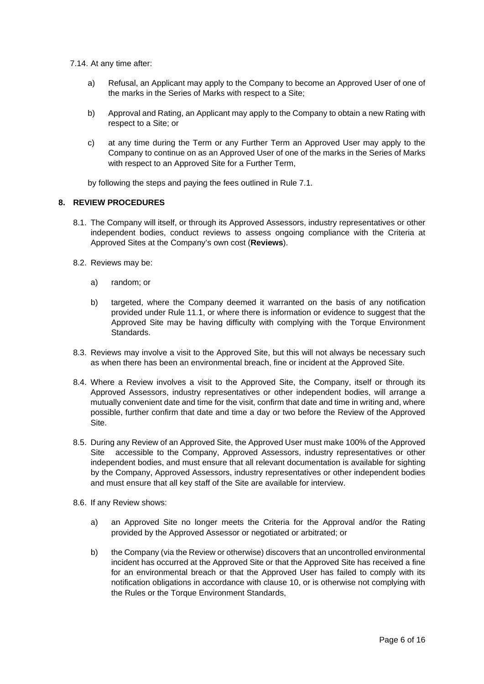7.14. At any time after:

- a) Refusal, an Applicant may apply to the Company to become an Approved User of one of the marks in the Series of Marks with respect to a Site;
- b) Approval and Rating, an Applicant may apply to the Company to obtain a new Rating with respect to a Site; or
- c) at any time during the Term or any Further Term an Approved User may apply to the Company to continue on as an Approved User of one of the marks in the Series of Marks with respect to an Approved Site for a Further Term,

by following the steps and paying the fees outlined in Rule 7.1.

### **8. REVIEW PROCEDURES**

- 8.1. The Company will itself, or through its Approved Assessors, industry representatives or other independent bodies, conduct reviews to assess ongoing compliance with the Criteria at Approved Sites at the Company's own cost (**Reviews**).
- 8.2. Reviews may be:
	- a) random; or
	- b) targeted, where the Company deemed it warranted on the basis of any notification provided under Rule 11.1, or where there is information or evidence to suggest that the Approved Site may be having difficulty with complying with the Torque Environment Standards.
- 8.3. Reviews may involve a visit to the Approved Site, but this will not always be necessary such as when there has been an environmental breach, fine or incident at the Approved Site.
- 8.4. Where a Review involves a visit to the Approved Site, the Company, itself or through its Approved Assessors, industry representatives or other independent bodies, will arrange a mutually convenient date and time for the visit, confirm that date and time in writing and, where possible, further confirm that date and time a day or two before the Review of the Approved Site.
- 8.5. During any Review of an Approved Site, the Approved User must make 100% of the Approved Site accessible to the Company, Approved Assessors, industry representatives or other independent bodies, and must ensure that all relevant documentation is available for sighting by the Company, Approved Assessors, industry representatives or other independent bodies and must ensure that all key staff of the Site are available for interview.
- 8.6. If any Review shows:
	- a) an Approved Site no longer meets the Criteria for the Approval and/or the Rating provided by the Approved Assessor or negotiated or arbitrated; or
	- b) the Company (via the Review or otherwise) discovers that an uncontrolled environmental incident has occurred at the Approved Site or that the Approved Site has received a fine for an environmental breach or that the Approved User has failed to comply with its notification obligations in accordance with clause 10, or is otherwise not complying with the Rules or the Torque Environment Standards,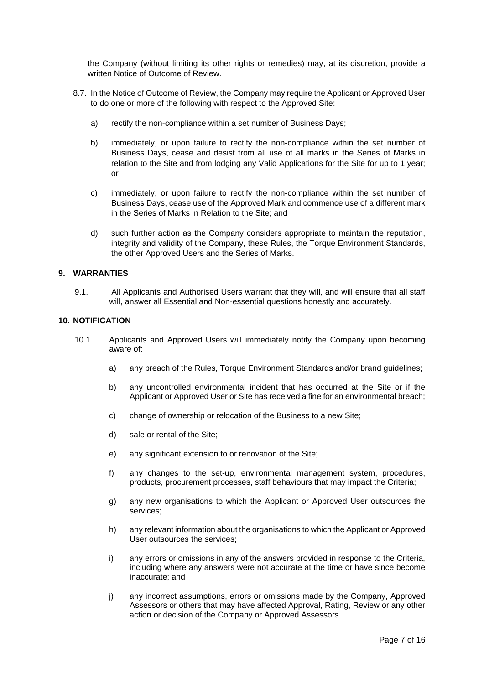the Company (without limiting its other rights or remedies) may, at its discretion, provide a written Notice of Outcome of Review.

- 8.7. In the Notice of Outcome of Review, the Company may require the Applicant or Approved User to do one or more of the following with respect to the Approved Site:
	- a) rectify the non-compliance within a set number of Business Days;
	- b) immediately, or upon failure to rectify the non-compliance within the set number of Business Days, cease and desist from all use of all marks in the Series of Marks in relation to the Site and from lodging any Valid Applications for the Site for up to 1 year; or
	- c) immediately, or upon failure to rectify the non-compliance within the set number of Business Days, cease use of the Approved Mark and commence use of a different mark in the Series of Marks in Relation to the Site; and
	- d) such further action as the Company considers appropriate to maintain the reputation, integrity and validity of the Company, these Rules, the Torque Environment Standards, the other Approved Users and the Series of Marks.

## **9. WARRANTIES**

9.1. All Applicants and Authorised Users warrant that they will, and will ensure that all staff will, answer all Essential and Non-essential questions honestly and accurately.

#### **10. NOTIFICATION**

- 10.1. Applicants and Approved Users will immediately notify the Company upon becoming aware of:
	- a) any breach of the Rules, Torque Environment Standards and/or brand guidelines;
	- b) any uncontrolled environmental incident that has occurred at the Site or if the Applicant or Approved User or Site has received a fine for an environmental breach;
	- c) change of ownership or relocation of the Business to a new Site;
	- d) sale or rental of the Site;
	- e) any significant extension to or renovation of the Site;
	- f) any changes to the set-up, environmental management system, procedures, products, procurement processes, staff behaviours that may impact the Criteria;
	- g) any new organisations to which the Applicant or Approved User outsources the services;
	- h) any relevant information about the organisations to which the Applicant or Approved User outsources the services;
	- i) any errors or omissions in any of the answers provided in response to the Criteria, including where any answers were not accurate at the time or have since become inaccurate; and
	- j) any incorrect assumptions, errors or omissions made by the Company, Approved Assessors or others that may have affected Approval, Rating, Review or any other action or decision of the Company or Approved Assessors.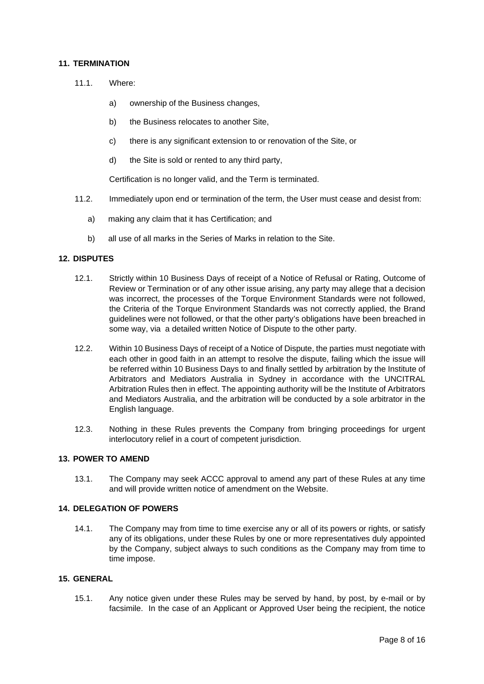#### **11. TERMINATION**

- 11.1 Where:
	- a) ownership of the Business changes,
	- b) the Business relocates to another Site,
	- c) there is any significant extension to or renovation of the Site, or
	- d) the Site is sold or rented to any third party,

Certification is no longer valid, and the Term is terminated.

- 11.2. Immediately upon end or termination of the term, the User must cease and desist from:
	- a) making any claim that it has Certification; and
	- b) all use of all marks in the Series of Marks in relation to the Site.

#### **12. DISPUTES**

- 12.1. Strictly within 10 Business Days of receipt of a Notice of Refusal or Rating, Outcome of Review or Termination or of any other issue arising, any party may allege that a decision was incorrect, the processes of the Torque Environment Standards were not followed, the Criteria of the Torque Environment Standards was not correctly applied, the Brand guidelines were not followed, or that the other party's obligations have been breached in some way, via a detailed written Notice of Dispute to the other party.
- 12.2. Within 10 Business Days of receipt of a Notice of Dispute, the parties must negotiate with each other in good faith in an attempt to resolve the dispute, failing which the issue will be referred within 10 Business Days to and finally settled by arbitration by the Institute of Arbitrators and Mediators Australia in Sydney in accordance with the UNCITRAL Arbitration Rules then in effect. The appointing authority will be the Institute of Arbitrators and Mediators Australia, and the arbitration will be conducted by a sole arbitrator in the English language.
- 12.3. Nothing in these Rules prevents the Company from bringing proceedings for urgent interlocutory relief in a court of competent jurisdiction.

#### **13. POWER TO AMEND**

13.1. The Company may seek ACCC approval to amend any part of these Rules at any time and will provide written notice of amendment on the Website.

# **14. DELEGATION OF POWERS**

14.1. The Company may from time to time exercise any or all of its powers or rights, or satisfy any of its obligations, under these Rules by one or more representatives duly appointed by the Company, subject always to such conditions as the Company may from time to time impose.

#### **15. GENERAL**

15.1. Any notice given under these Rules may be served by hand, by post, by e-mail or by facsimile. In the case of an Applicant or Approved User being the recipient, the notice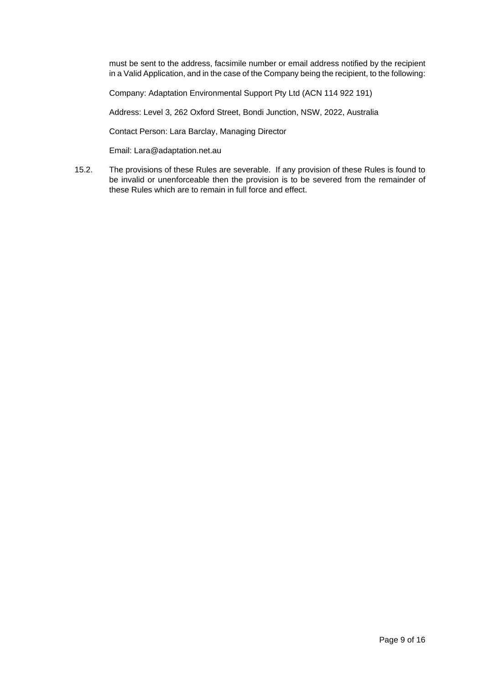must be sent to the address, facsimile number or email address notified by the recipient in a Valid Application, and in the case of the Company being the recipient, to the following:

Company: Adaptation Environmental Support Pty Ltd (ACN 114 922 191)

Address: Level 3, 262 Oxford Street, Bondi Junction, NSW, 2022, Australia

Contact Person: Lara Barclay, Managing Director

Email: Lara@adaptation.net.au

15.2. The provisions of these Rules are severable. If any provision of these Rules is found to be invalid or unenforceable then the provision is to be severed from the remainder of these Rules which are to remain in full force and effect.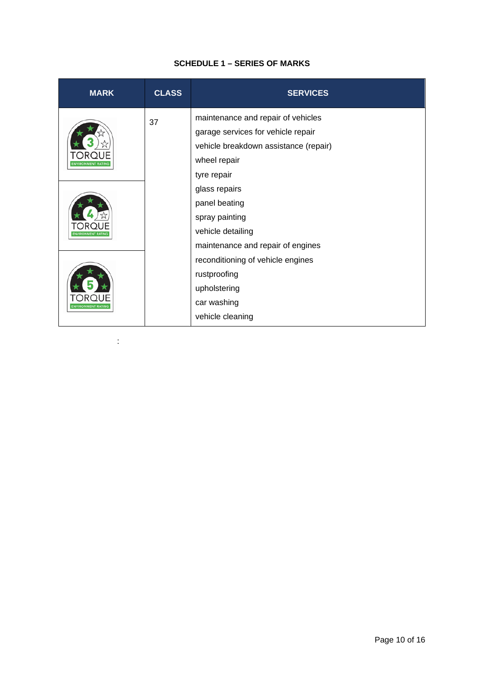# **SCHEDULE 1 – SERIES OF MARKS**

| <b>MARK</b>               | <b>CLASS</b> | <b>SERVICES</b>                       |
|---------------------------|--------------|---------------------------------------|
| <b>ENVIRONMENT RATING</b> | 37           | maintenance and repair of vehicles    |
|                           |              | garage services for vehicle repair    |
|                           |              | vehicle breakdown assistance (repair) |
|                           |              | wheel repair                          |
|                           |              | tyre repair                           |
| <b>INVIRONMENT RATING</b> |              | glass repairs                         |
|                           |              | panel beating                         |
|                           |              | spray painting                        |
|                           |              | vehicle detailing                     |
|                           |              | maintenance and repair of engines     |
| <b>ENVIRONMENT RATING</b> |              | reconditioning of vehicle engines     |
|                           |              | rustproofing                          |
|                           |              | upholstering                          |
|                           |              | car washing                           |
|                           |              | vehicle cleaning                      |

: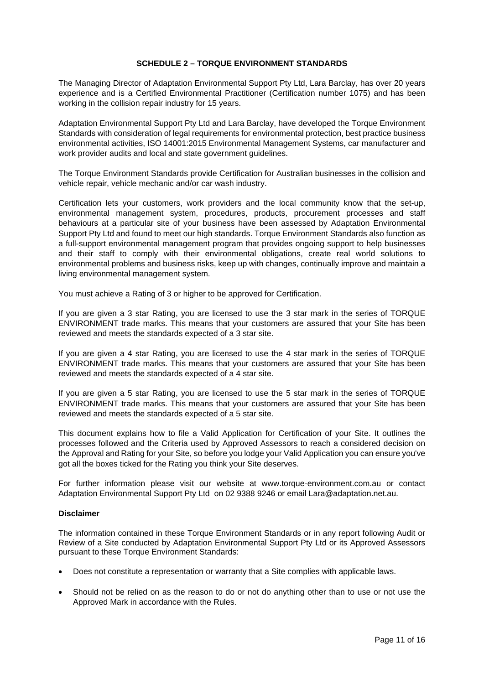## **SCHEDULE 2 – TORQUE ENVIRONMENT STANDARDS**

The Managing Director of Adaptation Environmental Support Pty Ltd, Lara Barclay, has over 20 years experience and is a Certified Environmental Practitioner (Certification number 1075) and has been working in the collision repair industry for 15 years.

Adaptation Environmental Support Pty Ltd and Lara Barclay, have developed the Torque Environment Standards with consideration of legal requirements for environmental protection, best practice business environmental activities, ISO 14001:2015 Environmental Management Systems, car manufacturer and work provider audits and local and state government guidelines.

The Torque Environment Standards provide Certification for Australian businesses in the collision and vehicle repair, vehicle mechanic and/or car wash industry.

Certification lets your customers, work providers and the local community know that the set-up, environmental management system, procedures, products, procurement processes and staff behaviours at a particular site of your business have been assessed by Adaptation Environmental Support Pty Ltd and found to meet our high standards. Torque Environment Standards also function as a full-support environmental management program that provides ongoing support to help businesses and their staff to comply with their environmental obligations, create real world solutions to environmental problems and business risks, keep up with changes, continually improve and maintain a living environmental management system.

You must achieve a Rating of 3 or higher to be approved for Certification.

If you are given a 3 star Rating, you are licensed to use the 3 star mark in the series of TORQUE ENVIRONMENT trade marks. This means that your customers are assured that your Site has been reviewed and meets the standards expected of a 3 star site.

If you are given a 4 star Rating, you are licensed to use the 4 star mark in the series of TORQUE ENVIRONMENT trade marks. This means that your customers are assured that your Site has been reviewed and meets the standards expected of a 4 star site.

If you are given a 5 star Rating, you are licensed to use the 5 star mark in the series of TORQUE ENVIRONMENT trade marks. This means that your customers are assured that your Site has been reviewed and meets the standards expected of a 5 star site.

This document explains how to file a Valid Application for Certification of your Site. It outlines the processes followed and the Criteria used by Approved Assessors to reach a considered decision on the Approval and Rating for your Site, so before you lodge your Valid Application you can ensure you've got all the boxes ticked for the Rating you think your Site deserves.

For further information please visit our website [at](http://at/) [www.torque-environment.com.au o](http://www.torque-environment.com.au/)r contact Adaptation Environmental Support Pty Ltd on 02 9388 9246 or email Lara@adaptation.net.au.

# **Disclaimer**

The information contained in these Torque Environment Standards or in any report following Audit or Review of a Site conducted by Adaptation Environmental Support Pty Ltd or its Approved Assessors pursuant to these Torque Environment Standards:

- Does not constitute a representation or warranty that a Site complies with applicable laws.
- Should not be relied on as the reason to do or not do anything other than to use or not use the Approved Mark in accordance with the Rules.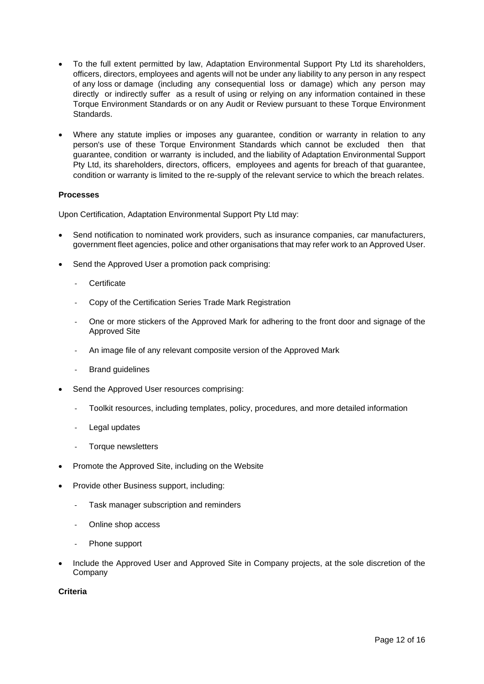- To the full extent permitted by law, Adaptation Environmental Support Pty Ltd its shareholders, officers, directors, employees and agents will not be under any liability to any person in any respect of any loss or damage (including any consequential loss or damage) which any person may directly or indirectly suffer as a result of using or relying on any information contained in these Torque Environment Standards or on any Audit or Review pursuant to these Torque Environment Standards.
- Where any statute implies or imposes any guarantee, condition or warranty in relation to any person's use of these Torque Environment Standards which cannot be excluded then that guarantee, condition or warranty is included, and the liability of Adaptation Environmental Support Pty Ltd, its shareholders, directors, officers, employees and agents for breach of that guarantee, condition or warranty is limited to the re-supply of the relevant service to which the breach relates.

# **Processes**

Upon Certification, Adaptation Environmental Support Pty Ltd may:

- Send notification to nominated work providers, such as insurance companies, car manufacturers, government fleet agencies, police and other organisations that may refer work to an Approved User.
- Send the Approved User a promotion pack comprising:
	- **Certificate**
	- Copy of the Certification Series Trade Mark Registration
	- One or more stickers of the Approved Mark for adhering to the front door and signage of the Approved Site
	- An image file of any relevant composite version of the Approved Mark
	- Brand guidelines
- Send the Approved User resources comprising:
	- Toolkit resources, including templates, policy, procedures, and more detailed information
	- Legal updates
	- Torque newsletters
- Promote the Approved Site, including on the Website
- Provide other Business support, including:
	- Task manager subscription and reminders
	- Online shop access
	- Phone support
- Include the Approved User and Approved Site in Company projects, at the sole discretion of the Company

# **Criteria**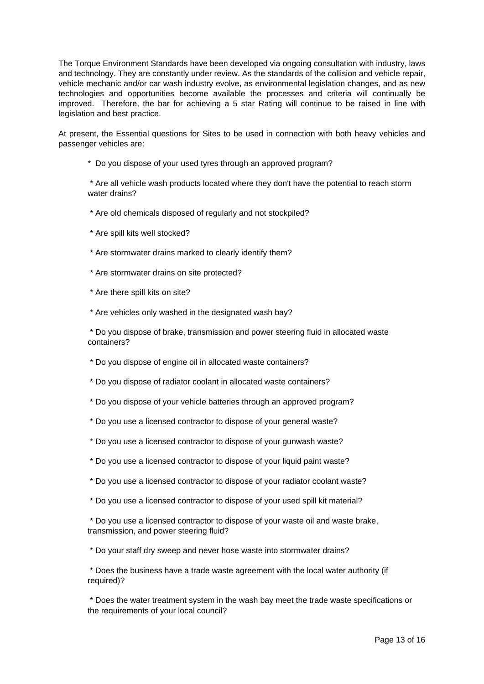The Torque Environment Standards have been developed via ongoing consultation with industry, laws and technology. They are constantly under review. As the standards of the collision and vehicle repair, vehicle mechanic and/or car wash industry evolve, as environmental legislation changes, and as new technologies and opportunities become available the processes and criteria will continually be improved. Therefore, the bar for achieving a 5 star Rating will continue to be raised in line with legislation and best practice.

At present, the Essential questions for Sites to be used in connection with both heavy vehicles and passenger vehicles are:

\* Do you dispose of your used tyres through an approved program?

\* Are all vehicle wash products located where they don't have the potential to reach storm water drains?

- \* Are old chemicals disposed of regularly and not stockpiled?
- \* Are spill kits well stocked?
- \* Are stormwater drains marked to clearly identify them?
- \* Are stormwater drains on site protected?
- \* Are there spill kits on site?
- \* Are vehicles only washed in the designated wash bay?

\* Do you dispose of brake, transmission and power steering fluid in allocated waste containers?

- \* Do you dispose of engine oil in allocated waste containers?
- \* Do you dispose of radiator coolant in allocated waste containers?
- \* Do you dispose of your vehicle batteries through an approved program?
- \* Do you use a licensed contractor to dispose of your general waste?
- \* Do you use a licensed contractor to dispose of your gunwash waste?
- \* Do you use a licensed contractor to dispose of your liquid paint waste?
- \* Do you use a licensed contractor to dispose of your radiator coolant waste?
- \* Do you use a licensed contractor to dispose of your used spill kit material?

\* Do you use a licensed contractor to dispose of your waste oil and waste brake, transmission, and power steering fluid?

\* Do your staff dry sweep and never hose waste into stormwater drains?

\* Does the business have a trade waste agreement with the local water authority (if required)?

\* Does the water treatment system in the wash bay meet the trade waste specifications or the requirements of your local council?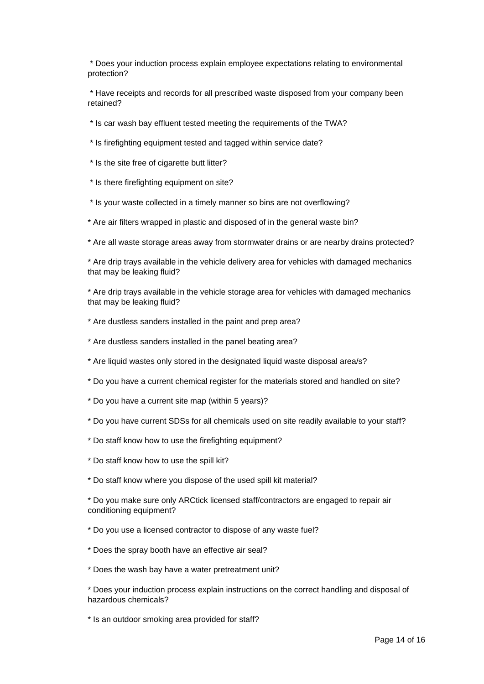\* Does your induction process explain employee expectations relating to environmental protection?

\* Have receipts and records for all prescribed waste disposed from your company been retained?

\* Is car wash bay effluent tested meeting the requirements of the TWA?

\* Is firefighting equipment tested and tagged within service date?

- \* Is the site free of cigarette butt litter?
- \* Is there firefighting equipment on site?
- \* Is your waste collected in a timely manner so bins are not overflowing?
- \* Are air filters wrapped in plastic and disposed of in the general waste bin?

\* Are all waste storage areas away from stormwater drains or are nearby drains protected?

\* Are drip trays available in the vehicle delivery area for vehicles with damaged mechanics that may be leaking fluid?

\* Are drip trays available in the vehicle storage area for vehicles with damaged mechanics that may be leaking fluid?

- \* Are dustless sanders installed in the paint and prep area?
- \* Are dustless sanders installed in the panel beating area?
- \* Are liquid wastes only stored in the designated liquid waste disposal area/s?
- \* Do you have a current chemical register for the materials stored and handled on site?
- \* Do you have a current site map (within 5 years)?
- \* Do you have current SDSs for all chemicals used on site readily available to your staff?
- \* Do staff know how to use the firefighting equipment?
- \* Do staff know how to use the spill kit?
- \* Do staff know where you dispose of the used spill kit material?

\* Do you make sure only ARCtick licensed staff/contractors are engaged to repair air conditioning equipment?

\* Do you use a licensed contractor to dispose of any waste fuel?

- \* Does the spray booth have an effective air seal?
- \* Does the wash bay have a water pretreatment unit?

\* Does your induction process explain instructions on the correct handling and disposal of hazardous chemicals?

\* Is an outdoor smoking area provided for staff?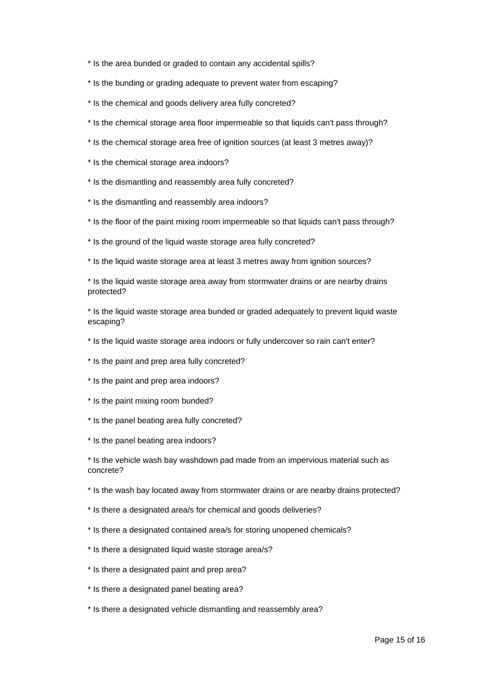\* Is the area bunded or graded to contain any accidental spills?

- \* Is the bunding or grading adequate to prevent water from escaping?
- \* Is the chemical and goods delivery area fully concreted?
- \* Is the chemical storage area floor impermeable so that liquids can't pass through?
- \* Is the chemical storage area free of ignition sources (at least 3 metres away)?
- \* Is the chemical storage area indoors?
- \* Is the dismantling and reassembly area fully concreted?
- \* Is the dismantling and reassembly area indoors?
- \* Is the floor of the paint mixing room impermeable so that liquids can't pass through?
- \* Is the ground of the liquid waste storage area fully concreted?
- \* Is the liquid waste storage area at least 3 metres away from ignition sources?

\* Is the liquid waste storage area away from stormwater drains or are nearby drains protected?

\* Is the liquid waste storage area bunded or graded adequately to prevent liquid waste escaping?

- \* Is the liquid waste storage area indoors or fully undercover so rain can't enter?
- \* Is the paint and prep area fully concreted?
- \* Is the paint and prep area indoors?
- \* Is the paint mixing room bunded?
- \* Is the panel beating area fully concreted?
- \* Is the panel beating area indoors?

\* Is the vehicle wash bay washdown pad made from an impervious material such as concrete?

\* Is the wash bay located away from stormwater drains or are nearby drains protected?

- \* Is there a designated area/s for chemical and goods deliveries?
- \* Is there a designated contained area/s for storing unopened chemicals?
- \* Is there a designated liquid waste storage area/s?
- \* Is there a designated paint and prep area?
- \* Is there a designated panel beating area?
- \* Is there a designated vehicle dismantling and reassembly area?